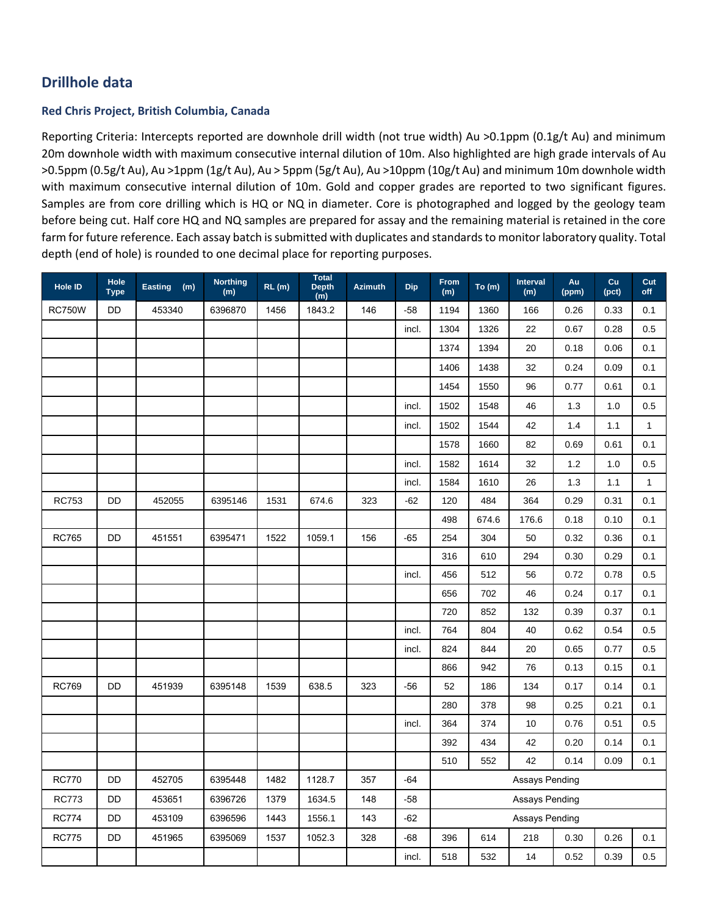## **Red Chris Project, British Columbia, Canada**

Reporting Criteria: Intercepts reported are downhole drill width (not true width) Au >0.1ppm (0.1g/t Au) and minimum 20m downhole width with maximum consecutive internal dilution of 10m. Also highlighted are high grade intervals of Au >0.5ppm (0.5g/t Au), Au >1ppm (1g/t Au), Au > 5ppm (5g/t Au), Au >10ppm (10g/t Au) and minimum 10m downhole width with maximum consecutive internal dilution of 10m. Gold and copper grades are reported to two significant figures. Samples are from core drilling which is HQ or NQ in diameter. Core is photographed and logged by the geology team before being cut. Half core HQ and NQ samples are prepared for assay and the remaining material is retained in the core farm for future reference. Each assay batch is submitted with duplicates and standards to monitor laboratory quality. Total depth (end of hole) is rounded to one decimal place for reporting purposes.

| Hole ID       | Hole<br><b>Type</b> | Easting (m) | <b>Northing</b><br>(m) | RL(m) | <b>Total</b><br><b>Depth</b><br>$\overline{m}$ | <b>Azimuth</b> | <b>Dip</b> | From<br>(m)           | To (m) | <b>Interval</b><br>(m) | Au<br>(ppm) | Cu<br>(pct) | Cut<br>off   |  |
|---------------|---------------------|-------------|------------------------|-------|------------------------------------------------|----------------|------------|-----------------------|--------|------------------------|-------------|-------------|--------------|--|
| <b>RC750W</b> | <b>DD</b>           | 453340      | 6396870                | 1456  | 1843.2                                         | 146            | $-58$      | 1194                  | 1360   | 166                    | 0.26        | 0.33        | 0.1          |  |
|               |                     |             |                        |       |                                                |                | incl.      | 1304                  | 1326   | 22                     | 0.67        | 0.28        | 0.5          |  |
|               |                     |             |                        |       |                                                |                |            | 1374                  | 1394   | 20                     | 0.18        | 0.06        | 0.1          |  |
|               |                     |             |                        |       |                                                |                |            | 1406                  | 1438   | 32                     | 0.24        | 0.09        | 0.1          |  |
|               |                     |             |                        |       |                                                |                |            | 1454                  | 1550   | 96                     | 0.77        | 0.61        | 0.1          |  |
|               |                     |             |                        |       |                                                |                | incl.      | 1502                  | 1548   | 46                     | $1.3$       | 1.0         | 0.5          |  |
|               |                     |             |                        |       |                                                |                | incl.      | 1502                  | 1544   | 42                     | 1.4         | 1.1         | $\mathbf{1}$ |  |
|               |                     |             |                        |       |                                                |                |            | 1578                  | 1660   | 82                     | 0.69        | 0.61        | 0.1          |  |
|               |                     |             |                        |       |                                                |                | incl.      | 1582                  | 1614   | 32                     | $1.2$       | 1.0         | 0.5          |  |
|               |                     |             |                        |       |                                                |                | incl.      | 1584                  | 1610   | 26                     | 1.3         | 1.1         | 1            |  |
| <b>RC753</b>  | DD                  | 452055      | 6395146                | 1531  | 674.6                                          | 323            | $-62$      | 120                   | 484    | 364                    | 0.29        | 0.31        | 0.1          |  |
|               |                     |             |                        |       |                                                |                |            | 498                   | 674.6  | 176.6                  | 0.18        | 0.10        | 0.1          |  |
| <b>RC765</b>  | DD                  | 451551      | 6395471                | 1522  | 1059.1                                         | 156            | $-65$      | 254                   | 304    | 50                     | 0.32        | 0.36        | 0.1          |  |
|               |                     |             |                        |       |                                                |                |            | 316                   | 610    | 294                    | 0.30        | 0.29        | 0.1          |  |
|               |                     |             |                        |       |                                                |                | incl.      | 456                   | 512    | 56                     | 0.72        | 0.78        | 0.5          |  |
|               |                     |             |                        |       |                                                |                |            | 656                   | 702    | 46                     | 0.24        | 0.17        | 0.1          |  |
|               |                     |             |                        |       |                                                |                |            | 720                   | 852    | 132                    | 0.39        | 0.37        | 0.1          |  |
|               |                     |             |                        |       |                                                |                | incl.      | 764                   | 804    | 40                     | 0.62        | 0.54        | 0.5          |  |
|               |                     |             |                        |       |                                                |                | incl.      | 824                   | 844    | 20                     | 0.65        | 0.77        | 0.5          |  |
|               |                     |             |                        |       |                                                |                |            | 866                   | 942    | 76                     | 0.13        | 0.15        | 0.1          |  |
| <b>RC769</b>  | DD                  | 451939      | 6395148                | 1539  | 638.5                                          | 323            | $-56$      | 52                    | 186    | 134                    | 0.17        | 0.14        | 0.1          |  |
|               |                     |             |                        |       |                                                |                |            | 280                   | 378    | 98                     | 0.25        | 0.21        | 0.1          |  |
|               |                     |             |                        |       |                                                |                | incl.      | 364                   | 374    | 10                     | 0.76        | 0.51        | 0.5          |  |
|               |                     |             |                        |       |                                                |                |            | 392                   | 434    | 42                     | 0.20        | 0.14        | 0.1          |  |
|               |                     |             |                        |       |                                                |                |            | 510                   | 552    | 42                     | 0.14        | 0.09        | 0.1          |  |
| <b>RC770</b>  | <b>DD</b>           | 452705      | 6395448                | 1482  | 1128.7                                         | 357            | $-64$      | <b>Assays Pending</b> |        |                        |             |             |              |  |
| RC773         | DD                  | 453651      | 6396726                | 1379  | 1634.5                                         | 148            | $-58$      | Assays Pending        |        |                        |             |             |              |  |
| <b>RC774</b>  | DD                  | 453109      | 6396596                | 1443  | 1556.1                                         | 143            | -62        | Assays Pending        |        |                        |             |             |              |  |
| <b>RC775</b>  | DD                  | 451965      | 6395069                | 1537  | 1052.3                                         | 328            | -68        | 396                   | 614    | 218                    | 0.30        | 0.26        | 0.1          |  |
|               |                     |             |                        |       |                                                |                | incl.      | 518                   | 532    | 14                     | 0.52        | 0.39        | 0.5          |  |